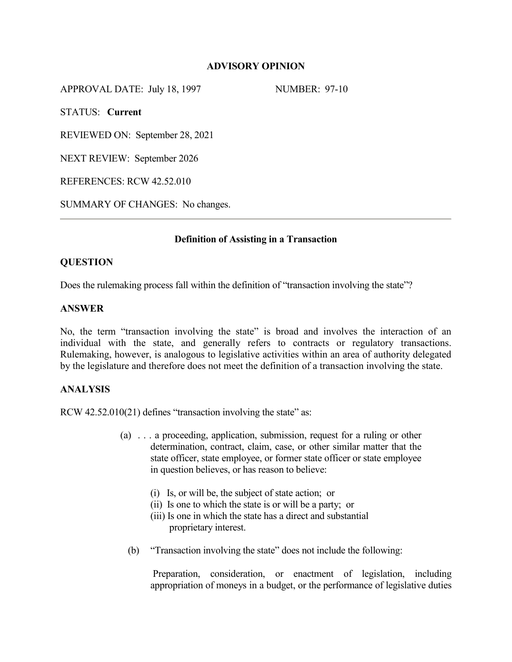# **ADVISORY OPINION**

APPROVAL DATE: July 18, 1997 NUMBER: 97-10

STATUS: **Current**

REVIEWED ON: September 28, 2021

NEXT REVIEW: September 2026

REFERENCES: RCW 42.52.010

SUMMARY OF CHANGES: No changes.

## **Definition of Assisting in a Transaction**

## **QUESTION**

Does the rulemaking process fall within the definition of "transaction involving the state"?

## **ANSWER**

No, the term "transaction involving the state" is broad and involves the interaction of an individual with the state, and generally refers to contracts or regulatory transactions. Rulemaking, however, is analogous to legislative activities within an area of authority delegated by the legislature and therefore does not meet the definition of a transaction involving the state.

# **ANALYSIS**

RCW 42.52.010(21) defines "transaction involving the state" as:

- (a) . . . a proceeding, application, submission, request for a ruling or other determination, contract, claim, case, or other similar matter that the state officer, state employee, or former state officer or state employee in question believes, or has reason to believe:
	- (i) Is, or will be, the subject of state action; or
	- (ii) Is one to which the state is or will be a party; or
	- (iii) Is one in which the state has a direct and substantial proprietary interest.
	- (b) "Transaction involving the state" does not include the following:

Preparation, consideration, or enactment of legislation, including appropriation of moneys in a budget, or the performance of legislative duties